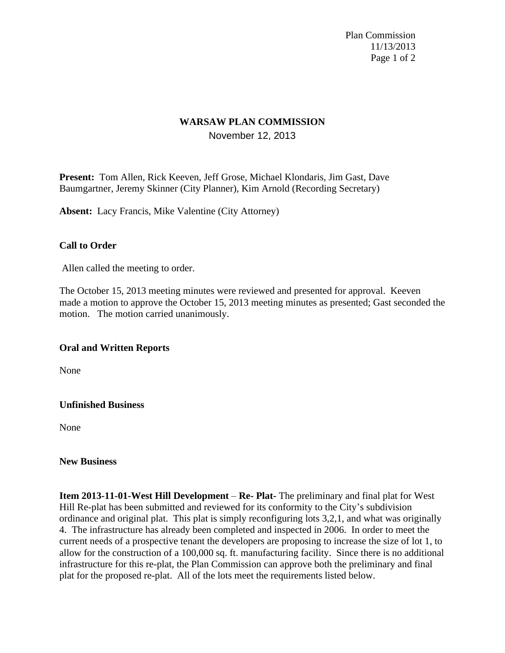Plan Commission 11/13/2013 Page 1 of 2

## **WARSAW PLAN COMMISSION** November 12, 2013

**Present:** Tom Allen, Rick Keeven, Jeff Grose, Michael Klondaris, Jim Gast, Dave Baumgartner, Jeremy Skinner (City Planner), Kim Arnold (Recording Secretary)

**Absent:** Lacy Francis, Mike Valentine (City Attorney)

### **Call to Order**

Allen called the meeting to order.

The October 15, 2013 meeting minutes were reviewed and presented for approval. Keeven made a motion to approve the October 15, 2013 meeting minutes as presented; Gast seconded the motion. The motion carried unanimously.

### **Oral and Written Reports**

None

#### **Unfinished Business**

None

#### **New Business**

**Item 2013-11-01-West Hill Development** – **Re- Plat-** The preliminary and final plat for West Hill Re-plat has been submitted and reviewed for its conformity to the City's subdivision ordinance and original plat. This plat is simply reconfiguring lots 3,2,1, and what was originally 4. The infrastructure has already been completed and inspected in 2006. In order to meet the current needs of a prospective tenant the developers are proposing to increase the size of lot 1, to allow for the construction of a 100,000 sq. ft. manufacturing facility. Since there is no additional infrastructure for this re-plat, the Plan Commission can approve both the preliminary and final plat for the proposed re-plat. All of the lots meet the requirements listed below.